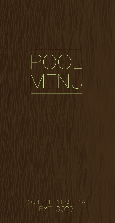

# TO ORDER PLEASE DIAL EXT. 3023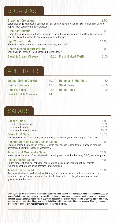### BREAKFAST

| <b>Breakfast Croissant</b><br>Scrambled eggs with bacon, sausage or ham and a choice of Cheddar, Swiss, Monterey Jack or<br>Pepper Jack served on a flaky croissant                    | 12.50    |
|----------------------------------------------------------------------------------------------------------------------------------------------------------------------------------------|----------|
| <b>Breakfast Burrito</b><br>Scrambled eggs, choice of bacon, sausage or ham, breakfast potatoes and Cheddar cheese in a<br>flour tortilla with guacamole and pico de gallo on the side | 12.50    |
| <b>Egg White Frittata</b><br>Sautéed spinach and mushrooms, tomato slices, bran muffin                                                                                                 | 14.00    |
| <b>Honey-Kissed Yogurt Parfait</b><br>Vanilla yogurt, granola, fresh seasonal berries, honey                                                                                           | 900      |
| 6.50 Fresh-Baked Muffin<br><b>Bagel &amp; Cream Cheese</b>                                                                                                                             | $($ )( ) |

#### APPETIZERS

| <b>Jumbo Shrimp Cocktail</b>     | 19 OO - | <b>Hummus &amp; Pita Plate</b> | 11.50 |
|----------------------------------|---------|--------------------------------|-------|
| <b>Chicken Tenders</b>           |         | 13.00 Steak Fries              | 7. QO |
| <b>Chips &amp; Salsa</b>         |         | 8.50 Onion Rings               | 900   |
| <b>Fresh Fruit &amp; Cheeses</b> | 14.00   |                                |       |

## SALADS

| <b>Caesar Salad</b><br>Grilled chicken breast<br>Marinated shrimp<br>Marinated steak or salmon                                                                                                                                                | 14.00<br>17.00<br>19.00<br>21.00 |
|-----------------------------------------------------------------------------------------------------------------------------------------------------------------------------------------------------------------------------------------------|----------------------------------|
| <b>Fresh Fruit Salad</b><br>Medley of seasonal fresh fruits, banana bread, strawberry yogurt dressing and fresh mint                                                                                                                          | 13.75                            |
| <b>Roasted Beet and Goat Cheese Salad</b><br>Red and golden beets, mixed greens, Sonoma goat cheese, sliced fennel, mandarin oranges,<br>caramelized walnuts, raspberry vinaigrette                                                           | 14.00                            |
| <b>Tomato and Mozzarella Salad</b><br>Vine-ripened tomatoes, fresh Mozzarella, mixed greens, sliced red onions, EVOO, balsamic glaze                                                                                                          | 14.00                            |
| Asian Chicken Salad<br>Grilled breast of chicken, cabbage, bean sprouts, snow peas, iceberg lettuce, carrots,<br>red bell pepper, orange-miso dressing, crisp wontons                                                                         | 17.00                            |
| <b>Tex-Mex Taco Salad</b><br>Seasoned chicken or beef, shredded lettuce, rice, black beans, roasted corn, tomatoes and<br>shredded cheese. Served in a fried flour tortilla bowl with pico de gallo, sour cream, and<br>guacamole on the side | 17 NO                            |

Menu advisory: The Washoe County District Health Department advises that eating raw, undercooked animal foods, or animal foods that are not otherwise processed to eliminate pathogens (such as meat, poultry, eggs, milk, seafood or shellfish) poses a potential health risk to everyone, especially the elderly, young children under the age of four years, pregnant women, and other highly susceptible individuals with compromised immune systems. Thorough cooking or processing of foods to eliminate pathogens reduces the risk of illness.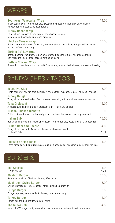# WRAPS

| Southwest Vegetarian Wrap<br>Black beans, corn, lettuce, tomato, avocado, bell peppers, Monterey Jack cheese,<br>chipotle ranch dressing, spinach tortilla       | 14.00 |
|------------------------------------------------------------------------------------------------------------------------------------------------------------------|-------|
| <b>Turkey Bacon Wrap</b><br>Thinly sliced, smoked turkey breast, crisp bacon, lettuce,<br>tomatoes, and avocado with ranch dressing                              | 16.00 |
| <b>Chicken Caesar Wrap</b><br>Grilled marinated breast of chicken, romaine lettuce, red onions, and grated Parmesan<br>tossed in Caesar dressing                 | 16.00 |
| <b>Shrimp Po' Boy Wrap</b><br>Breaded shrimp, tomatoes, red onion, shredded iceberg lettuce, chopped cabbage,<br>and shredded Jack cheese tossed with spicy mayo | 16.00 |
| <b>Buffalo Chicken Wrap</b>                                                                                                                                      | 15.00 |

Breaded chicken tenders tossed in Buffalo sauce, tomato, Jack cheese, and ranch dressing

# SANDWICHES / TACOS

| <b>Executive Club</b><br>Triple decker of shaved smoked turkey, crisp bacon, avocado, tomato, and Jack cheese  | 16.00 |
|----------------------------------------------------------------------------------------------------------------|-------|
| <b>Turkey Delight</b><br>Thinly sliced smoked turkey, Swiss cheese, avocado, lettuce and tomato on a croissant | 15.00 |
| <b>Tuna Croissant</b><br>Albacore tuna salad on a flaky croissant with lettuce and tomato                      | 15.00 |
| Tuscan Chicken Ciabatta<br>Grilled chicken breast, roasted red peppers, lettuce, Provolone cheese, pesto aioli | 15.00 |
| Italian Sub<br>Ham, salami, prosciutto, Provolone cheese, lettuce, tomato, pesto aioli on a torpedo roll       | 15.00 |
| <b>Grilled Ham and Cheese</b><br>Thinly sliced ham with American cheese on choice of bread                     | 14.00 |
| Cheese only                                                                                                    | 11.00 |
|                                                                                                                |       |

#### Chicken or Fish Tacos 14.00

Three tacos served with fresh pico de gallo, mango salsa, guacamole, corn-flour tortillas

# BURGERS

| <b>The Classic</b><br>With cheese                                                                | 14.00<br>15.00 |
|--------------------------------------------------------------------------------------------------|----------------|
| <b>Western Burger</b><br>Bacon, onion rings, Cheddar cheese, BBQ sauce                           | 16.50          |
| <b>Mushroom Swiss Burger</b><br>Grilled Mushrooms, Swiss cheese, ranch-dijonnaise dressing       | 16.00          |
| Ortega Burger<br>Ortega peppers, Monterey Jack cheese, chipotle dressing                         | 16.00          |
| <b>Turkey Burger</b><br>Lemon pepper aioli, lettuce, tomato, onion                               | 14.00          |
| The Impossible<br>Impossible™ burger patty, non-dairy cheese, avocado, lettuce, tomato and onion | 14.00          |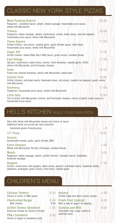# CLASSIC NEW YORK STYLE PIZZAS

| <b>Meat Packing District</b><br>Pepperoni, Canadian bacon, salami, Italian sausage, housemade pizza sauce,<br>whole milk Mozzarella                      | 20.00 |
|----------------------------------------------------------------------------------------------------------------------------------------------------------|-------|
| <b>Tribeca</b><br>Pepperoni, Italian sausage, salami, mushrooms, onions, black olives, and bell peppers,<br>housemade pizza sauce, whole milk Mozzarella | 20.00 |
| <b>Times Square</b><br>Grilled chicken, red onions, roasted garlic, garlic alfredo sauce, fresh basil,<br>housemade pizza sauce, whole milk Mozzarella   | 17.00 |
| <b>Sugar Hill</b><br>Grilled chicken, Sweet Baby Ray's BBQ sauce, green onions, smoked Gouda                                                             | 17.00 |
| <b>East Village</b><br>Spinach, mushrooms, black olives, onions, fresh tomatoes, roasted garlic, EVOO,<br>whole milk Mozzarella, and Parmesan cheeses    | 17.00 |
| <b>SoHo</b><br>Fresh vine-ripened tomatoes, whole milk Mozzarella, sweet basil                                                                           | 15.00 |
| <b>Central Park</b><br>Grilled chicken, artichoke hearts, Kalamata olives, red onions, roasted red peppers, pesto, whole<br>milk Mozzarella              | 18.00 |
| Gramercy<br>Pepperoni, housemade pizza sauce, whole milk Mozzarella                                                                                      | 17.50 |
| Little Italy<br>Trio of whole milk Mozzarella, Fontina, and Parmesan cheeses, choice of garlic cream sauce or<br>housemade pizza sauce                   | 15.00 |

## HELL'S KITCHEN BUILD YOUR OWN PIZZA

| Start with whole milk Mozzarella cheese and choice of sauce<br>Additional items are priced per each selection<br>Substitute gluten-friendly pizza Forman Holmes Product Product Product Product Product B |       |
|-----------------------------------------------------------------------------------------------------------------------------------------------------------------------------------------------------------|-------|
| 12" Pizza                                                                                                                                                                                                 | 15.00 |
| <b>Sauces</b><br>Housemade tomato, pesto, garlic alfredo, BBQ                                                                                                                                             |       |
| <b>Extra Cheeses</b><br>Whole milk Mozzarella, Ricotta, Parmesan, smoked Gouda                                                                                                                            | 200   |
| <b>Meats</b><br>Pepperoni, Italian sausage, salami, grilled chicken, Canadian bacon, meatballs,<br>Andouille sausage                                                                                      | 3.00  |
| <b>Veggies</b><br>Onions, mushrooms, bell peppers, black olives, spinach, artichoke hearts, Calabrian chiles,<br>jalapeños, pineapple, green onions, fresh basil, roasted garlic                          | 1.00  |

# CHILDREN'S MENU

| <b>Chicken Tenders</b><br>Choice of ranch or BBQ sauce               | 8.00         | <b>Nachos</b><br>Tortilla chips and warm nacho cheese            | 5.00 |
|----------------------------------------------------------------------|--------------|------------------------------------------------------------------|------|
| <b>Charbroiled Burger</b><br>With cheese                             | 8.00<br>9.00 | <b>Fresh Fruit Cocktail</b><br>With a side of yogurt for dipping | 6.00 |
| <b>Grilled Cheese Sandwich</b><br>American cheese on choice of bread | (1)          | <b>Cookies and Milk</b><br>Chocolate chip, sugar cookie or       | 5.00 |
| <b>PB&amp;J Sandwich</b><br>Choice of grape or strawberry jelly      | 6.00         | oatmeal raisin                                                   |      |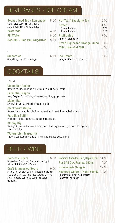#### BEVERAGES / ICE CREAM

| Sodas / Iced Tea / Lemonade<br>Coke, Diet Coke, Sprite, Squirt,<br>Barg's Root Beer, Fanta Orange<br><b>Powerade</b><br><b>Fiji Water</b><br><b>Red Bull / Red Bull Sugarfree</b> | 5.00<br>4.00<br>6.00<br>5.50 | <b>Hot Tea / Specialty Tea</b><br><b>Coffee</b><br>3 cup thermos<br>6 cup thermos<br><b>Fruit Juice</b><br>Apple or cranberry<br><b>Fresh-Squeezed Orange Juice</b><br><b>Milk / Non-Fat Milk</b> | 5.00<br>4.00<br>8.00<br>10.00<br>7.00<br>8.00<br>6.00 |
|-----------------------------------------------------------------------------------------------------------------------------------------------------------------------------------|------------------------------|---------------------------------------------------------------------------------------------------------------------------------------------------------------------------------------------------|-------------------------------------------------------|
| <b>Smoothies</b><br>Strawberry, vanilla or mango                                                                                                                                  | 6.50                         | <b>Ice Cream</b><br>Häagen-Dazs ice cream bars                                                                                                                                                    | 4.00                                                  |

# **COCKTAILS**

#### 12.00

Cucumber Cooler Hendrick's Gin, muddled mint, fresh lime, splash of tonic

Enter the Dragon Skyy Dragon Fruit Vodka, pomegranate juice, ginger beer

Melon Ball Skinny Girl Vodka, Midori, pineapple juice

Blackberry Mojito Bacardi Rum, muddled blackberries and mint, fresh lime, splash of soda

Paradise Bellini Prosecco, Peach Schnapps, passion fruit purée

Skinny Dip Skinny Girl Vodka, blueberry syrup, fresh lime, agave syrup, splash of ginger ale, lavender bitters

Watermelon Margarita 1800 Silver Tequila, Combier, fresh lime, puréed watermelon

## BEER / WINE

**Domestic Beers 8.00** Budweiser, Bud Light, Coors, Coors Light, Michelob Ultra, O'Doul's N/A

Craft & Imported Beers 9.00 Blue Moon Belgian White, Firestone 805, Icky IPA, Sierra Nevada Pale Ale, Corona, Corona Light, Modelo Especial, Guinness Stout,

Heineken

| Domaine Chandon, Brut, Napa 187ml 14.00                                                             |       |
|-----------------------------------------------------------------------------------------------------|-------|
| Rosé All Day, France, 250ml                                                                         | 10.00 |
| <b>Housemade Sangria</b>                                                                            | 12.00 |
| <b>Featured Winery - Hahn Family 12.00</b><br>Chardonnay, Pinot Noir, Merlot,<br>Cabernet Sauvignon |       |